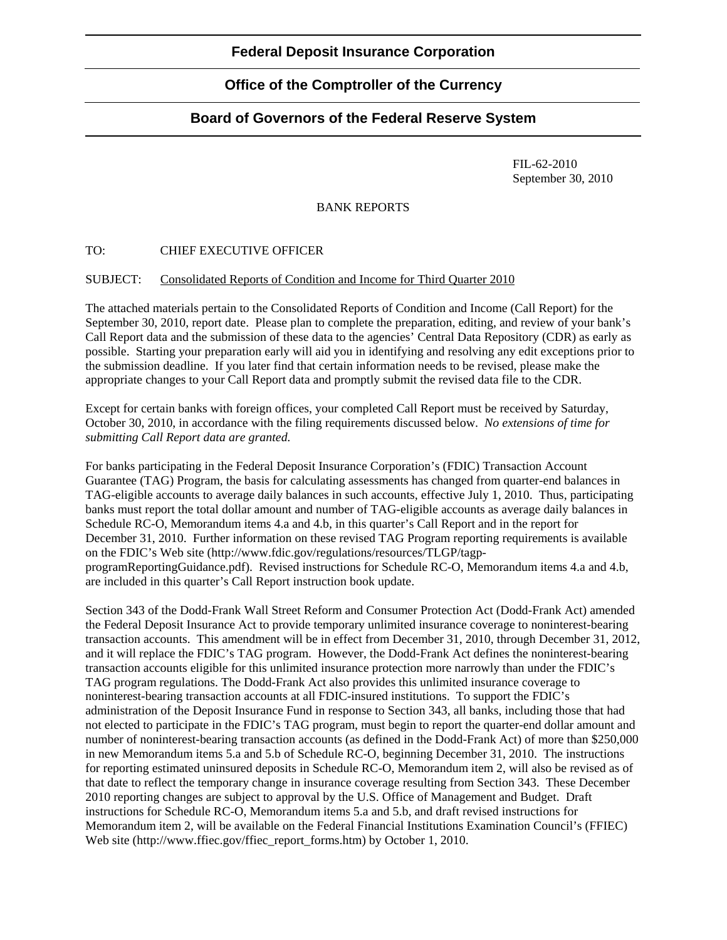## **Federal Deposit Insurance Corporation**

# **Office of the Comptroller of the Currency**

## **Board of Governors of the Federal Reserve System**

 FIL-62-2010 September 30, 2010

### BANK REPORTS

### TO: CHIEF EXECUTIVE OFFICER

#### SUBJECT: Consolidated Reports of Condition and Income for Third Quarter 2010

The attached materials pertain to the Consolidated Reports of Condition and Income (Call Report) for the September 30, 2010, report date. Please plan to complete the preparation, editing, and review of your bank's Call Report data and the submission of these data to the agencies' Central Data Repository (CDR) as early as possible. Starting your preparation early will aid you in identifying and resolving any edit exceptions prior to the submission deadline. If you later find that certain information needs to be revised, please make the appropriate changes to your Call Report data and promptly submit the revised data file to the CDR.

Except for certain banks with foreign offices, your completed Call Report must be received by Saturday, October 30, 2010, in accordance with the filing requirements discussed below. *No extensions of time for submitting Call Report data are granted.* 

For banks participating in the Federal Deposit Insurance Corporation's (FDIC) Transaction Account Guarantee (TAG) Program, the basis for calculating assessments has changed from quarter-end balances in TAG-eligible accounts to average daily balances in such accounts, effective July 1, 2010. Thus, participating banks must report the total dollar amount and number of TAG-eligible accounts as average daily balances in Schedule RC-O, Memorandum items 4.a and 4.b, in this quarter's Call Report and in the report for December 31, 2010. Further information on these revised TAG Program reporting requirements is available on the FDIC's Web site (http://www.fdic.gov/regulations/resources/TLGP/tagpprogramReportingGuidance.pdf). Revised instructions for Schedule RC-O, Memorandum items 4.a and 4.b, are included in this quarter's Call Report instruction book update.

Section 343 of the Dodd-Frank Wall Street Reform and Consumer Protection Act (Dodd-Frank Act) amended the Federal Deposit Insurance Act to provide temporary unlimited insurance coverage to noninterest-bearing transaction accounts. This amendment will be in effect from December 31, 2010, through December 31, 2012, and it will replace the FDIC's TAG program. However, the Dodd-Frank Act defines the noninterest-bearing transaction accounts eligible for this unlimited insurance protection more narrowly than under the FDIC's TAG program regulations. The Dodd-Frank Act also provides this unlimited insurance coverage to noninterest-bearing transaction accounts at all FDIC-insured institutions. To support the FDIC's administration of the Deposit Insurance Fund in response to Section 343, all banks, including those that had not elected to participate in the FDIC's TAG program, must begin to report the quarter-end dollar amount and number of noninterest-bearing transaction accounts (as defined in the Dodd-Frank Act) of more than \$250,000 in new Memorandum items 5.a and 5.b of Schedule RC-O, beginning December 31, 2010. The instructions for reporting estimated uninsured deposits in Schedule RC-O, Memorandum item 2, will also be revised as of that date to reflect the temporary change in insurance coverage resulting from Section 343. These December 2010 reporting changes are subject to approval by the U.S. Office of Management and Budget. Draft instructions for Schedule RC-O, Memorandum items 5.a and 5.b, and draft revised instructions for Memorandum item 2, will be available on the Federal Financial Institutions Examination Council's (FFIEC) Web site (http://www.ffiec.gov/ffiec\_report\_forms.htm) by October 1, 2010.